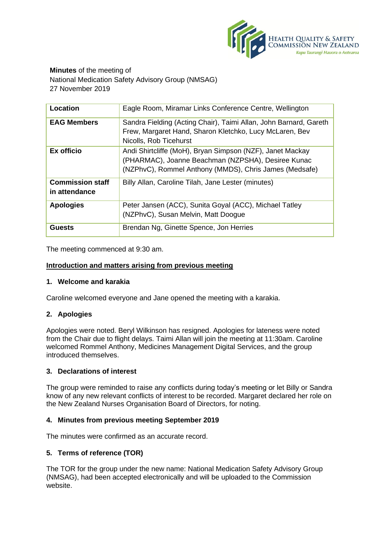

**Minutes** of the meeting of National Medication Safety Advisory Group (NMSAG) 27 November 2019

| Location                                 | Eagle Room, Miramar Links Conference Centre, Wellington                                                                                                                   |
|------------------------------------------|---------------------------------------------------------------------------------------------------------------------------------------------------------------------------|
| <b>EAG Members</b>                       | Sandra Fielding (Acting Chair), Taimi Allan, John Barnard, Gareth<br>Frew, Margaret Hand, Sharon Kletchko, Lucy McLaren, Bev<br>Nicolls, Rob Ticehurst                    |
| Ex officio                               | Andi Shirtcliffe (MoH), Bryan Simpson (NZF), Janet Mackay<br>(PHARMAC), Joanne Beachman (NZPSHA), Desiree Kunac<br>(NZPhvC), Rommel Anthony (MMDS), Chris James (Medsafe) |
| <b>Commission staff</b><br>in attendance | Billy Allan, Caroline Tilah, Jane Lester (minutes)                                                                                                                        |
| <b>Apologies</b>                         | Peter Jansen (ACC), Sunita Goyal (ACC), Michael Tatley<br>(NZPhvC), Susan Melvin, Matt Doogue                                                                             |
| <b>Guests</b>                            | Brendan Ng, Ginette Spence, Jon Herries                                                                                                                                   |

The meeting commenced at 9:30 am.

## **Introduction and matters arising from previous meeting**

# **1. Welcome and karakia**

Caroline welcomed everyone and Jane opened the meeting with a karakia.

# **2. Apologies**

Apologies were noted. Beryl Wilkinson has resigned. Apologies for lateness were noted from the Chair due to flight delays. Taimi Allan will join the meeting at 11:30am. Caroline welcomed Rommel Anthony, Medicines Management Digital Services, and the group introduced themselves.

# **3. Declarations of interest**

The group were reminded to raise any conflicts during today's meeting or let Billy or Sandra know of any new relevant conflicts of interest to be recorded. Margaret declared her role on the New Zealand Nurses Organisation Board of Directors, for noting.

# **4. Minutes from previous meeting September 2019**

The minutes were confirmed as an accurate record.

# **5. Terms of reference (TOR)**

The TOR for the group under the new name: National Medication Safety Advisory Group (NMSAG), had been accepted electronically and will be uploaded to the Commission website.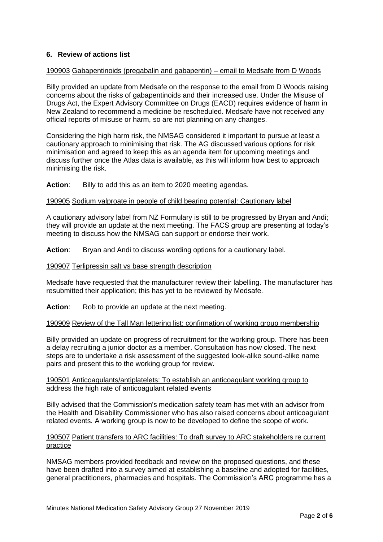# **6. Review of actions list**

## 190903 Gabapentinoids (pregabalin and gabapentin) – email to Medsafe from D Woods

Billy provided an update from Medsafe on the response to the email from D Woods raising concerns about the risks of gabapentinoids and their increased use. Under the Misuse of Drugs Act, the Expert Advisory Committee on Drugs (EACD) requires evidence of harm in New Zealand to recommend a medicine be rescheduled. Medsafe have not received any official reports of misuse or harm, so are not planning on any changes.

Considering the high harm risk, the NMSAG considered it important to pursue at least a cautionary approach to minimising that risk. The AG discussed various options for risk minimisation and agreed to keep this as an agenda item for upcoming meetings and discuss further once the Atlas data is available, as this will inform how best to approach minimising the risk.

**Action**: Billy to add this as an item to 2020 meeting agendas.

#### 190905 Sodium valproate in people of child bearing potential: Cautionary label

A cautionary advisory label from NZ Formulary is still to be progressed by Bryan and Andi; they will provide an update at the next meeting. The FACS group are presenting at today's meeting to discuss how the NMSAG can support or endorse their work.

Action: Bryan and Andi to discuss wording options for a cautionary label.

#### 190907 Terlipressin salt vs base strength description

Medsafe have requested that the manufacturer review their labelling. The manufacturer has resubmitted their application; this has yet to be reviewed by Medsafe.

Action: Rob to provide an update at the next meeting.

#### 190909 Review of the Tall Man lettering list: confirmation of working group membership

Billy provided an update on progress of recruitment for the working group. There has been a delay recruiting a junior doctor as a member. Consultation has now closed. The next steps are to undertake a risk assessment of the suggested look-alike sound-alike name pairs and present this to the working group for review.

## 190501 Anticoagulants/antiplatelets: To establish an anticoagulant working group to address the high rate of anticoagulant related events

Billy advised that the Commission's medication safety team has met with an advisor from the Health and Disability Commissioner who has also raised concerns about anticoagulant related events. A working group is now to be developed to define the scope of work.

## 190507 Patient transfers to ARC facilities: To draft survey to ARC stakeholders re current practice

NMSAG members provided feedback and review on the proposed questions, and these have been drafted into a survey aimed at establishing a baseline and adopted for facilities, general practitioners, pharmacies and hospitals. The Commission's ARC programme has a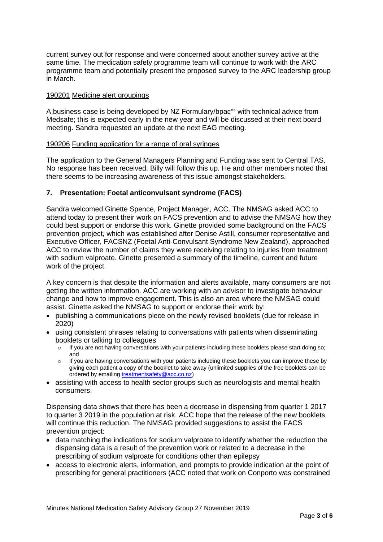current survey out for response and were concerned about another survey active at the same time. The medication safety programme team will continue to work with the ARC programme team and potentially present the proposed survey to the ARC leadership group in March.

## 190201 Medicine alert groupings

A business case is being developed by NZ Formulary/bpac<sup>nz</sup> with technical advice from Medsafe; this is expected early in the new year and will be discussed at their next board meeting. Sandra requested an update at the next EAG meeting.

#### 190206 Funding application for a range of oral syringes

The application to the General Managers Planning and Funding was sent to Central TAS. No response has been received. Billy will follow this up. He and other members noted that there seems to be increasing awareness of this issue amongst stakeholders.

## **7. Presentation: Foetal anticonvulsant syndrome (FACS)**

Sandra welcomed Ginette Spence, Project Manager, ACC. The NMSAG asked ACC to attend today to present their work on FACS prevention and to advise the NMSAG how they could best support or endorse this work. Ginette provided some background on the FACS prevention project, which was established after Denise Astill, consumer representative and Executive Officer, FACSNZ (Foetal Anti-Convulsant Syndrome New Zealand), approached ACC to review the number of claims they were receiving relating to injuries from treatment with sodium valproate. Ginette presented a summary of the timeline, current and future work of the project.

A key concern is that despite the information and alerts available, many consumers are not getting the written information. ACC are working with an advisor to investigate behaviour change and how to improve engagement. This is also an area where the NMSAG could assist. Ginette asked the NMSAG to support or endorse their work by:

- publishing a communications piece on the newly revised booklets (due for release in 2020)
- using consistent phrases relating to conversations with patients when disseminating booklets or talking to colleagues
	- o If you are not having conversations with your patients including these booklets please start doing so; and
	- If you are having conversations with your patients including these booklets you can improve these by giving each patient a copy of the booklet to take away (unlimited supplies of the free booklets can be ordered by emailing [treatmentsafety@acc.co.nz\)](mailto:treatmentsafety@acc.co.nz)
- assisting with access to health sector groups such as neurologists and mental health consumers.

Dispensing data shows that there has been a decrease in dispensing from quarter 1 2017 to quarter 3 2019 in the population at risk. ACC hope that the release of the new booklets will continue this reduction. The NMSAG provided suggestions to assist the FACS prevention project:

- data matching the indications for sodium valproate to identify whether the reduction the dispensing data is a result of the prevention work or related to a decrease in the prescribing of sodium valproate for conditions other than epilepsy
- access to electronic alerts, information, and prompts to provide indication at the point of prescribing for general practitioners (ACC noted that work on Conporto was constrained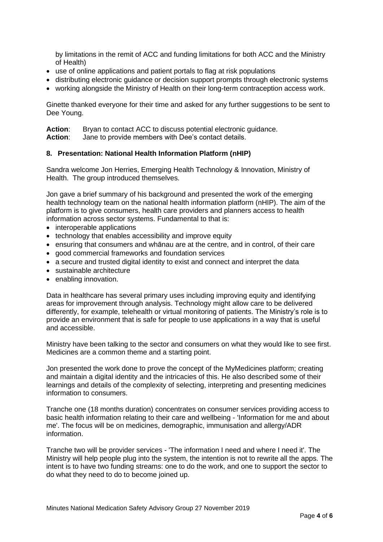by limitations in the remit of ACC and funding limitations for both ACC and the Ministry of Health)

- use of online applications and patient portals to flag at risk populations
- distributing electronic guidance or decision support prompts through electronic systems
- working alongside the Ministry of Health on their long-term contraception access work.

Ginette thanked everyone for their time and asked for any further suggestions to be sent to Dee Young.

Action: Bryan to contact ACC to discuss potential electronic guidance. **Action**: Jane to provide members with Dee's contact details.

## **8. Presentation: National Health Information Platform (nHIP)**

Sandra welcome Jon Herries, Emerging Health Technology & Innovation, Ministry of Health. The group introduced themselves.

Jon gave a brief summary of his background and presented the work of the emerging health technology team on the national health information platform (nHIP). The aim of the platform is to give consumers, health care providers and planners access to health information across sector systems. Fundamental to that is:

- interoperable applications
- technology that enables accessibility and improve equity
- ensuring that consumers and whānau are at the centre, and in control, of their care
- good commercial frameworks and foundation services
- a secure and trusted digital identity to exist and connect and interpret the data
- sustainable architecture
- enabling innovation.

Data in healthcare has several primary uses including improving equity and identifying areas for improvement through analysis. Technology might allow care to be delivered differently, for example, telehealth or virtual monitoring of patients. The Ministry's role is to provide an environment that is safe for people to use applications in a way that is useful and accessible.

Ministry have been talking to the sector and consumers on what they would like to see first. Medicines are a common theme and a starting point.

Jon presented the work done to prove the concept of the MyMedicines platform; creating and maintain a digital identity and the intricacies of this. He also described some of their learnings and details of the complexity of selecting, interpreting and presenting medicines information to consumers.

Tranche one (18 months duration) concentrates on consumer services providing access to basic health information relating to their care and wellbeing - 'Information for me and about me'. The focus will be on medicines, demographic, immunisation and allergy/ADR information.

Tranche two will be provider services - 'The information I need and where I need it'. The Ministry will help people plug into the system, the intention is not to rewrite all the apps. The intent is to have two funding streams: one to do the work, and one to support the sector to do what they need to do to become joined up.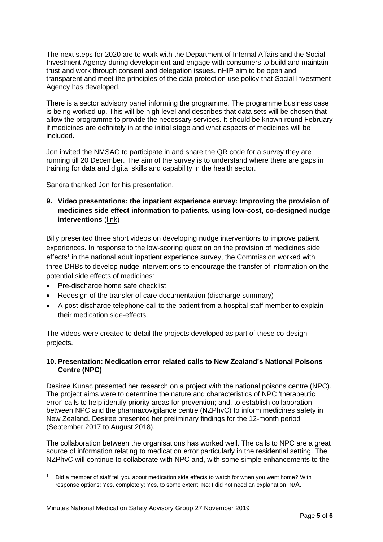The next steps for 2020 are to work with the Department of Internal Affairs and the Social Investment Agency during development and engage with consumers to build and maintain trust and work through consent and delegation issues. nHIP aim to be open and transparent and meet the principles of the data protection use policy that Social Investment Agency has developed.

There is a sector advisory panel informing the programme. The programme business case is being worked up. This will be high level and describes that data sets will be chosen that allow the programme to provide the necessary services. It should be known round February if medicines are definitely in at the initial stage and what aspects of medicines will be included.

Jon invited the NMSAG to participate in and share the QR code for a survey they are running till 20 December. The aim of the survey is to understand where there are gaps in training for data and digital skills and capability in the health sector.

Sandra thanked Jon for his presentation.

# **9. Video presentations: the inpatient experience survey: Improving the provision of medicines side effect information to patients, using low-cost, co-designed nudge interventions** [\(link\)](https://www.hqsc.govt.nz/our-programmes/partners-in-care/publications-and-resources/publication/3774/)

Billy presented three short videos on developing nudge interventions to improve patient experiences. In response to the low-scoring question on the provision of medicines side effects<sup>1</sup> in the national adult inpatient experience survey, the Commission worked with three DHBs to develop nudge interventions to encourage the transfer of information on the potential side effects of medicines:

- Pre-discharge home safe checklist
- Redesign of the transfer of care documentation (discharge summary)
- A post-discharge telephone call to the patient from a hospital staff member to explain their medication side-effects.

The videos were created to detail the projects developed as part of these co-design projects.

# **10. Presentation: Medication error related calls to New Zealand's National Poisons Centre (NPC)**

Desiree Kunac presented her research on a project with the national poisons centre (NPC). The project aims were to determine the nature and characteristics of NPC 'therapeutic error' calls to help identify priority areas for prevention; and, to establish collaboration between NPC and the pharmacovigilance centre (NZPhvC) to inform medicines safety in New Zealand. Desiree presented her preliminary findings for the 12-month period (September 2017 to August 2018).

The collaboration between the organisations has worked well. The calls to NPC are a great source of information relating to medication error particularly in the residential setting. The NZPhvC will continue to collaborate with NPC and, with some simple enhancements to the

<sup>1</sup> Did a member of staff tell you about medication side effects to watch for when you went home? With response options: Yes, completely; Yes, to some extent; No; I did not need an explanation; N/A.